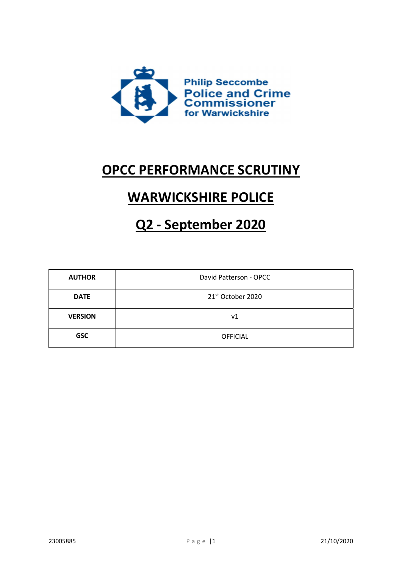

# OPCC PERFORMANCE SCRUTINY

# WARWICKSHIRE POLICE

# Q2 - September 2020

| <b>AUTHOR</b>  | David Patterson - OPCC |  |
|----------------|------------------------|--|
| <b>DATE</b>    | 21st October 2020      |  |
| <b>VERSION</b> | ν1                     |  |
| <b>GSC</b>     | <b>OFFICIAL</b>        |  |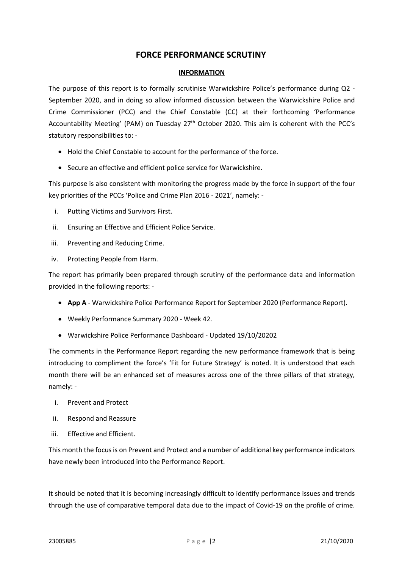# FORCE PERFORMANCE SCRUTINY

#### INFORMATION

The purpose of this report is to formally scrutinise Warwickshire Police's performance during Q2 - September 2020, and in doing so allow informed discussion between the Warwickshire Police and Crime Commissioner (PCC) and the Chief Constable (CC) at their forthcoming 'Performance Accountability Meeting' (PAM) on Tuesday 27th October 2020. This aim is coherent with the PCC's statutory responsibilities to: -

- Hold the Chief Constable to account for the performance of the force.
- Secure an effective and efficient police service for Warwickshire.

This purpose is also consistent with monitoring the progress made by the force in support of the four key priorities of the PCCs 'Police and Crime Plan 2016 - 2021', namely: -

- i. Putting Victims and Survivors First.
- ii. Ensuring an Effective and Efficient Police Service.
- iii. Preventing and Reducing Crime.
- iv. Protecting People from Harm.

The report has primarily been prepared through scrutiny of the performance data and information provided in the following reports: -

- App A Warwickshire Police Performance Report for September 2020 (Performance Report).
- Weekly Performance Summary 2020 Week 42.
- Warwickshire Police Performance Dashboard Updated 19/10/20202

The comments in the Performance Report regarding the new performance framework that is being introducing to compliment the force's 'Fit for Future Strategy' is noted. It is understood that each month there will be an enhanced set of measures across one of the three pillars of that strategy, namely: -

- i. Prevent and Protect
- ii. Respond and Reassure
- iii. Effective and Efficient.

This month the focus is on Prevent and Protect and a number of additional key performance indicators have newly been introduced into the Performance Report.

It should be noted that it is becoming increasingly difficult to identify performance issues and trends through the use of comparative temporal data due to the impact of Covid-19 on the profile of crime.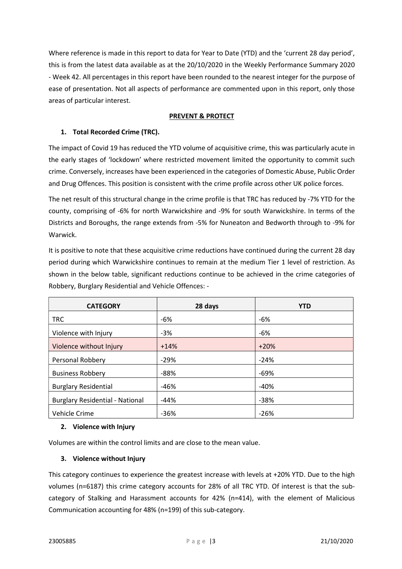Where reference is made in this report to data for Year to Date (YTD) and the 'current 28 day period', this is from the latest data available as at the 20/10/2020 in the Weekly Performance Summary 2020 - Week 42. All percentages in this report have been rounded to the nearest integer for the purpose of ease of presentation. Not all aspects of performance are commented upon in this report, only those areas of particular interest.

#### PREVENT & PROTECT

# 1. Total Recorded Crime (TRC).

The impact of Covid 19 has reduced the YTD volume of acquisitive crime, this was particularly acute in the early stages of 'lockdown' where restricted movement limited the opportunity to commit such crime. Conversely, increases have been experienced in the categories of Domestic Abuse, Public Order and Drug Offences. This position is consistent with the crime profile across other UK police forces.

The net result of this structural change in the crime profile is that TRC has reduced by -7% YTD for the county, comprising of -6% for north Warwickshire and -9% for south Warwickshire. In terms of the Districts and Boroughs, the range extends from -5% for Nuneaton and Bedworth through to -9% for Warwick.

It is positive to note that these acquisitive crime reductions have continued during the current 28 day period during which Warwickshire continues to remain at the medium Tier 1 level of restriction. As shown in the below table, significant reductions continue to be achieved in the crime categories of Robbery, Burglary Residential and Vehicle Offences: -

| <b>CATEGORY</b>                        | 28 days | <b>YTD</b> |
|----------------------------------------|---------|------------|
| <b>TRC</b>                             | -6%     | -6%        |
| Violence with Injury                   | $-3%$   | -6%        |
| Violence without Injury                | $+14%$  | $+20%$     |
| <b>Personal Robbery</b>                | $-29%$  | $-24%$     |
| <b>Business Robbery</b>                | $-88%$  | -69%       |
| <b>Burglary Residential</b>            | $-46%$  | $-40%$     |
| <b>Burglary Residential - National</b> | -44%    | $-38%$     |
| Vehicle Crime                          | $-36%$  | $-26%$     |

# 2. Violence with Injury

Volumes are within the control limits and are close to the mean value.

#### 3. Violence without Injury

This category continues to experience the greatest increase with levels at +20% YTD. Due to the high volumes (n=6187) this crime category accounts for 28% of all TRC YTD. Of interest is that the subcategory of Stalking and Harassment accounts for 42% (n=414), with the element of Malicious Communication accounting for 48% (n=199) of this sub-category.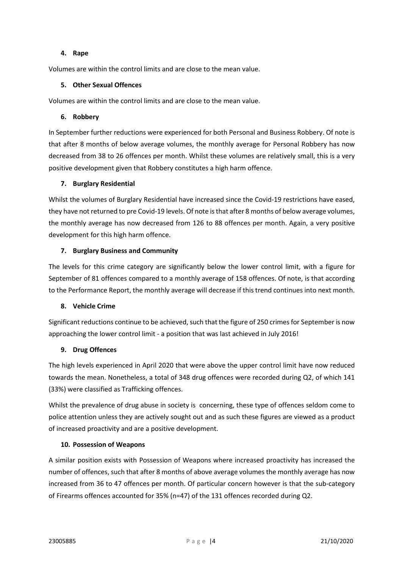#### 4. Rape

Volumes are within the control limits and are close to the mean value.

#### 5. Other Sexual Offences

Volumes are within the control limits and are close to the mean value.

#### 6. Robbery

In September further reductions were experienced for both Personal and Business Robbery. Of note is that after 8 months of below average volumes, the monthly average for Personal Robbery has now decreased from 38 to 26 offences per month. Whilst these volumes are relatively small, this is a very positive development given that Robbery constitutes a high harm offence.

#### 7. Burglary Residential

Whilst the volumes of Burglary Residential have increased since the Covid-19 restrictions have eased, they have not returned to pre Covid-19 levels. Of note is that after 8 months of below average volumes, the monthly average has now decreased from 126 to 88 offences per month. Again, a very positive development for this high harm offence.

#### 7. Burglary Business and Community

The levels for this crime category are significantly below the lower control limit, with a figure for September of 81 offences compared to a monthly average of 158 offences. Of note, is that according to the Performance Report, the monthly average will decrease if this trend continues into next month.

#### 8. Vehicle Crime

Significant reductions continue to be achieved, such that the figure of 250 crimes for September is now approaching the lower control limit - a position that was last achieved in July 2016!

# 9. Drug Offences

The high levels experienced in April 2020 that were above the upper control limit have now reduced towards the mean. Nonetheless, a total of 348 drug offences were recorded during Q2, of which 141 (33%) were classified as Trafficking offences.

Whilst the prevalence of drug abuse in society is concerning, these type of offences seldom come to police attention unless they are actively sought out and as such these figures are viewed as a product of increased proactivity and are a positive development.

#### 10. Possession of Weapons

A similar position exists with Possession of Weapons where increased proactivity has increased the number of offences, such that after 8 months of above average volumes the monthly average has now increased from 36 to 47 offences per month. Of particular concern however is that the sub-category of Firearms offences accounted for 35% (n=47) of the 131 offences recorded during Q2.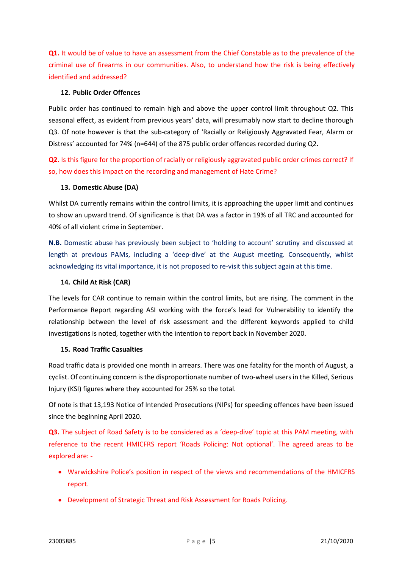Q1. It would be of value to have an assessment from the Chief Constable as to the prevalence of the criminal use of firearms in our communities. Also, to understand how the risk is being effectively identified and addressed?

#### 12. Public Order Offences

Public order has continued to remain high and above the upper control limit throughout Q2. This seasonal effect, as evident from previous years' data, will presumably now start to decline thorough Q3. Of note however is that the sub-category of 'Racially or Religiously Aggravated Fear, Alarm or Distress' accounted for 74% (n=644) of the 875 public order offences recorded during Q2.

Q2. Is this figure for the proportion of racially or religiously aggravated public order crimes correct? If so, how does this impact on the recording and management of Hate Crime?

#### 13. Domestic Abuse (DA)

Whilst DA currently remains within the control limits, it is approaching the upper limit and continues to show an upward trend. Of significance is that DA was a factor in 19% of all TRC and accounted for 40% of all violent crime in September.

N.B. Domestic abuse has previously been subject to 'holding to account' scrutiny and discussed at length at previous PAMs, including a 'deep-dive' at the August meeting. Consequently, whilst acknowledging its vital importance, it is not proposed to re-visit this subject again at this time.

#### 14. Child At Risk (CAR)

The levels for CAR continue to remain within the control limits, but are rising. The comment in the Performance Report regarding ASI working with the force's lead for Vulnerability to identify the relationship between the level of risk assessment and the different keywords applied to child investigations is noted, together with the intention to report back in November 2020.

#### 15. Road Traffic Casualties

Road traffic data is provided one month in arrears. There was one fatality for the month of August, a cyclist. Of continuing concern is the disproportionate number of two-wheel users in the Killed, Serious Injury (KSI) figures where they accounted for 25% so the total.

Of note is that 13,193 Notice of Intended Prosecutions (NIPs) for speeding offences have been issued since the beginning April 2020.

Q3. The subject of Road Safety is to be considered as a 'deep-dive' topic at this PAM meeting, with reference to the recent HMICFRS report 'Roads Policing: Not optional'. The agreed areas to be explored are: -

- Warwickshire Police's position in respect of the views and recommendations of the HMICFRS report.
- Development of Strategic Threat and Risk Assessment for Roads Policing.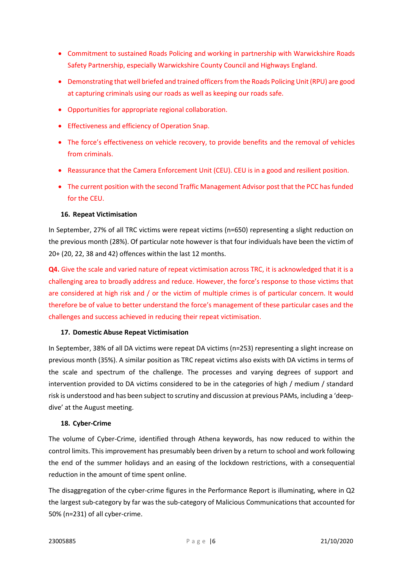- Commitment to sustained Roads Policing and working in partnership with Warwickshire Roads Safety Partnership, especially Warwickshire County Council and Highways England.
- Demonstrating that well briefed and trained officers from the Roads Policing Unit (RPU) are good at capturing criminals using our roads as well as keeping our roads safe.
- Opportunities for appropriate regional collaboration.
- Effectiveness and efficiency of Operation Snap.
- The force's effectiveness on vehicle recovery, to provide benefits and the removal of vehicles from criminals.
- Reassurance that the Camera Enforcement Unit (CEU). CEU is in a good and resilient position.
- The current position with the second Traffic Management Advisor post that the PCC has funded for the CEU.

#### 16. Repeat Victimisation

In September, 27% of all TRC victims were repeat victims (n=650) representing a slight reduction on the previous month (28%). Of particular note however is that four individuals have been the victim of 20+ (20, 22, 38 and 42) offences within the last 12 months.

Q4. Give the scale and varied nature of repeat victimisation across TRC, it is acknowledged that it is a challenging area to broadly address and reduce. However, the force's response to those victims that are considered at high risk and / or the victim of multiple crimes is of particular concern. It would therefore be of value to better understand the force's management of these particular cases and the challenges and success achieved in reducing their repeat victimisation.

#### 17. Domestic Abuse Repeat Victimisation

In September, 38% of all DA victims were repeat DA victims (n=253) representing a slight increase on previous month (35%). A similar position as TRC repeat victims also exists with DA victims in terms of the scale and spectrum of the challenge. The processes and varying degrees of support and intervention provided to DA victims considered to be in the categories of high / medium / standard risk is understood and has been subject to scrutiny and discussion at previous PAMs, including a 'deepdive' at the August meeting.

#### 18. Cyber-Crime

The volume of Cyber-Crime, identified through Athena keywords, has now reduced to within the control limits. This improvement has presumably been driven by a return to school and work following the end of the summer holidays and an easing of the lockdown restrictions, with a consequential reduction in the amount of time spent online.

The disaggregation of the cyber-crime figures in the Performance Report is illuminating, where in Q2 the largest sub-category by far was the sub-category of Malicious Communications that accounted for 50% (n=231) of all cyber-crime.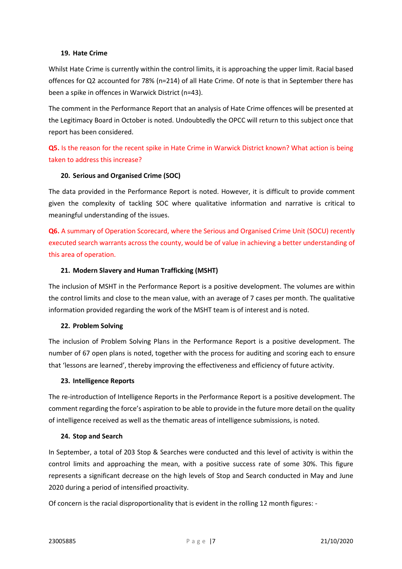#### 19. Hate Crime

Whilst Hate Crime is currently within the control limits, it is approaching the upper limit. Racial based offences for Q2 accounted for 78% (n=214) of all Hate Crime. Of note is that in September there has been a spike in offences in Warwick District (n=43).

The comment in the Performance Report that an analysis of Hate Crime offences will be presented at the Legitimacy Board in October is noted. Undoubtedly the OPCC will return to this subject once that report has been considered.

# Q5. Is the reason for the recent spike in Hate Crime in Warwick District known? What action is being taken to address this increase?

#### 20. Serious and Organised Crime (SOC)

The data provided in the Performance Report is noted. However, it is difficult to provide comment given the complexity of tackling SOC where qualitative information and narrative is critical to meaningful understanding of the issues.

Q6. A summary of Operation Scorecard, where the Serious and Organised Crime Unit (SOCU) recently executed search warrants across the county, would be of value in achieving a better understanding of this area of operation.

#### 21. Modern Slavery and Human Trafficking (MSHT)

The inclusion of MSHT in the Performance Report is a positive development. The volumes are within the control limits and close to the mean value, with an average of 7 cases per month. The qualitative information provided regarding the work of the MSHT team is of interest and is noted.

#### 22. Problem Solving

The inclusion of Problem Solving Plans in the Performance Report is a positive development. The number of 67 open plans is noted, together with the process for auditing and scoring each to ensure that 'lessons are learned', thereby improving the effectiveness and efficiency of future activity.

#### 23. Intelligence Reports

The re-introduction of Intelligence Reports in the Performance Report is a positive development. The comment regarding the force's aspiration to be able to provide in the future more detail on the quality of intelligence received as well as the thematic areas of intelligence submissions, is noted.

#### 24. Stop and Search

In September, a total of 203 Stop & Searches were conducted and this level of activity is within the control limits and approaching the mean, with a positive success rate of some 30%. This figure represents a significant decrease on the high levels of Stop and Search conducted in May and June 2020 during a period of intensified proactivity.

Of concern is the racial disproportionality that is evident in the rolling 12 month figures: -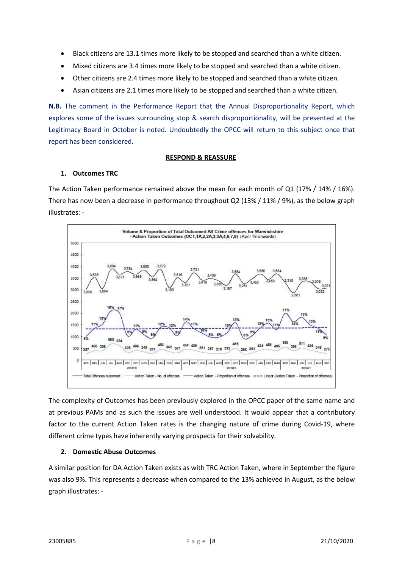- Black citizens are 13.1 times more likely to be stopped and searched than a white citizen.
- Mixed citizens are 3.4 times more likely to be stopped and searched than a white citizen.
- Other citizens are 2.4 times more likely to be stopped and searched than a white citizen.
- Asian citizens are 2.1 times more likely to be stopped and searched than a white citizen.

N.B. The comment in the Performance Report that the Annual Disproportionality Report, which explores some of the issues surrounding stop & search disproportionality, will be presented at the Legitimacy Board in October is noted. Undoubtedly the OPCC will return to this subject once that report has been considered.

#### RESPOND & REASSURE

#### 1. Outcomes TRC

The Action Taken performance remained above the mean for each month of Q1 (17% / 14% / 16%). There has now been a decrease in performance throughout Q2 (13% / 11% / 9%), as the below graph illustrates: -



The complexity of Outcomes has been previously explored in the OPCC paper of the same name and at previous PAMs and as such the issues are well understood. It would appear that a contributory factor to the current Action Taken rates is the changing nature of crime during Covid-19, where different crime types have inherently varying prospects for their solvability.

# 2. Domestic Abuse Outcomes

A similar position for DA Action Taken exists as with TRC Action Taken, where in September the figure was also 9%. This represents a decrease when compared to the 13% achieved in August, as the below graph illustrates: -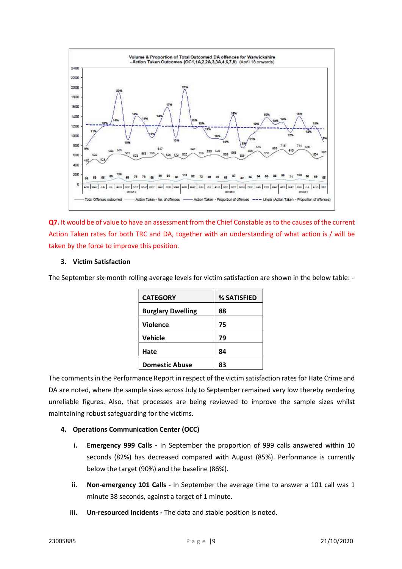

Q7. It would be of value to have an assessment from the Chief Constable as to the causes of the current Action Taken rates for both TRC and DA, together with an understanding of what action is / will be taken by the force to improve this position.

# 3. Victim Satisfaction

The September six-month rolling average levels for victim satisfaction are shown in the below table: -

| <b>CATEGORY</b>          | % SATISFIED |
|--------------------------|-------------|
| <b>Burglary Dwelling</b> | 88          |
| <b>Violence</b>          | 75          |
| Vehicle                  | 79          |
| Hate                     | 84          |
|                          |             |
| <b>Domestic Abuse</b>    | 83          |

The comments in the Performance Report in respect of the victim satisfaction rates for Hate Crime and DA are noted, where the sample sizes across July to September remained very low thereby rendering unreliable figures. Also, that processes are being reviewed to improve the sample sizes whilst maintaining robust safeguarding for the victims.

#### 4. Operations Communication Center (OCC)

- i. Emergency 999 Calls In September the proportion of 999 calls answered within 10 seconds (82%) has decreased compared with August (85%). Performance is currently below the target (90%) and the baseline (86%).
- ii. Non-emergency 101 Calls In September the average time to answer a 101 call was 1 minute 38 seconds, against a target of 1 minute.
- iii. Un-resourced Incidents The data and stable position is noted.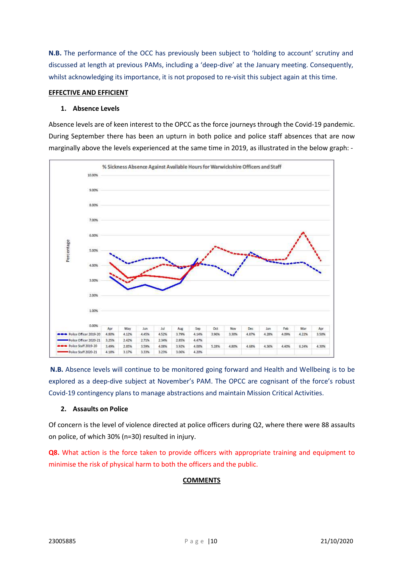N.B. The performance of the OCC has previously been subject to 'holding to account' scrutiny and discussed at length at previous PAMs, including a 'deep-dive' at the January meeting. Consequently, whilst acknowledging its importance, it is not proposed to re-visit this subject again at this time.

#### EFFECTIVE AND EFFICIENT

#### 1. Absence Levels

Absence levels are of keen interest to the OPCC as the force journeys through the Covid-19 pandemic. During September there has been an upturn in both police and police staff absences that are now marginally above the levels experienced at the same time in 2019, as illustrated in the below graph: -



 N.B. Absence levels will continue to be monitored going forward and Health and Wellbeing is to be explored as a deep-dive subject at November's PAM. The OPCC are cognisant of the force's robust Covid-19 contingency plans to manage abstractions and maintain Mission Critical Activities.

#### 2. Assaults on Police

Of concern is the level of violence directed at police officers during Q2, where there were 88 assaults on police, of which 30% (n=30) resulted in injury.

Q8. What action is the force taken to provide officers with appropriate training and equipment to minimise the risk of physical harm to both the officers and the public.

#### **COMMENTS**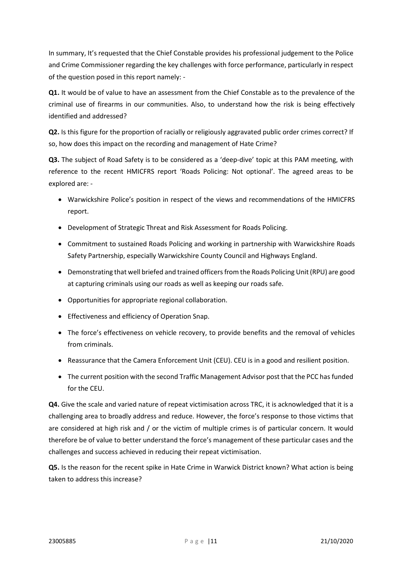In summary, It's requested that the Chief Constable provides his professional judgement to the Police and Crime Commissioner regarding the key challenges with force performance, particularly in respect of the question posed in this report namely: -

Q1. It would be of value to have an assessment from the Chief Constable as to the prevalence of the criminal use of firearms in our communities. Also, to understand how the risk is being effectively identified and addressed?

Q2. Is this figure for the proportion of racially or religiously aggravated public order crimes correct? If so, how does this impact on the recording and management of Hate Crime?

Q3. The subject of Road Safety is to be considered as a 'deep-dive' topic at this PAM meeting, with reference to the recent HMICFRS report 'Roads Policing: Not optional'. The agreed areas to be explored are: -

- Warwickshire Police's position in respect of the views and recommendations of the HMICFRS report.
- Development of Strategic Threat and Risk Assessment for Roads Policing.
- Commitment to sustained Roads Policing and working in partnership with Warwickshire Roads Safety Partnership, especially Warwickshire County Council and Highways England.
- Demonstrating that well briefed and trained officers from the Roads Policing Unit (RPU) are good at capturing criminals using our roads as well as keeping our roads safe.
- Opportunities for appropriate regional collaboration.
- **•** Effectiveness and efficiency of Operation Snap.
- The force's effectiveness on vehicle recovery, to provide benefits and the removal of vehicles from criminals.
- Reassurance that the Camera Enforcement Unit (CEU). CEU is in a good and resilient position.
- The current position with the second Traffic Management Advisor post that the PCC has funded for the CEU.

Q4. Give the scale and varied nature of repeat victimisation across TRC, it is acknowledged that it is a challenging area to broadly address and reduce. However, the force's response to those victims that are considered at high risk and / or the victim of multiple crimes is of particular concern. It would therefore be of value to better understand the force's management of these particular cases and the challenges and success achieved in reducing their repeat victimisation.

Q5. Is the reason for the recent spike in Hate Crime in Warwick District known? What action is being taken to address this increase?